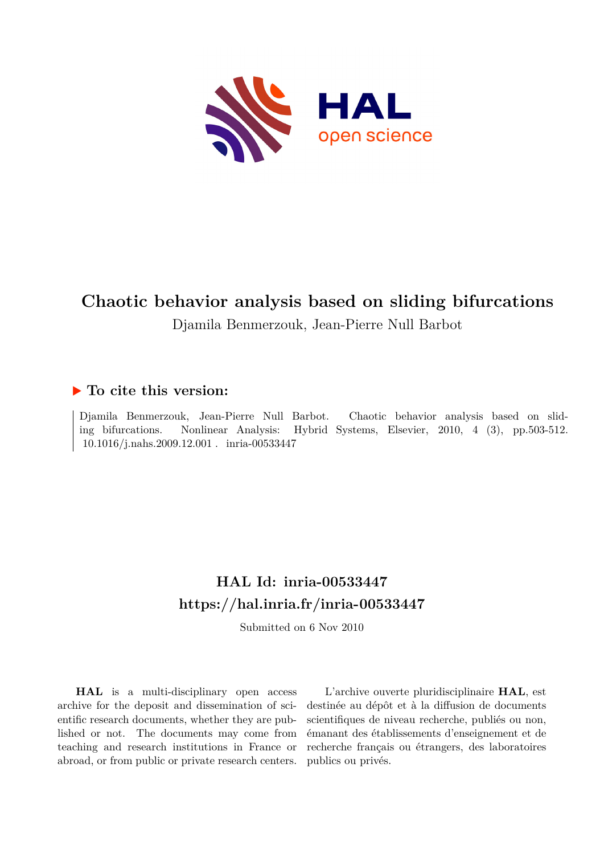

# **Chaotic behavior analysis based on sliding bifurcations**

Djamila Benmerzouk, Jean-Pierre Null Barbot

### **To cite this version:**

Djamila Benmerzouk, Jean-Pierre Null Barbot. Chaotic behavior analysis based on sliding bifurcations. Nonlinear Analysis: Hybrid Systems, Elsevier, 2010, 4 (3), pp.503-512. 10.1016/j.nahs.2009.12.001 . inria-00533447

## **HAL Id: inria-00533447 <https://hal.inria.fr/inria-00533447>**

Submitted on 6 Nov 2010

**HAL** is a multi-disciplinary open access archive for the deposit and dissemination of scientific research documents, whether they are published or not. The documents may come from teaching and research institutions in France or abroad, or from public or private research centers.

L'archive ouverte pluridisciplinaire **HAL**, est destinée au dépôt et à la diffusion de documents scientifiques de niveau recherche, publiés ou non, émanant des établissements d'enseignement et de recherche français ou étrangers, des laboratoires publics ou privés.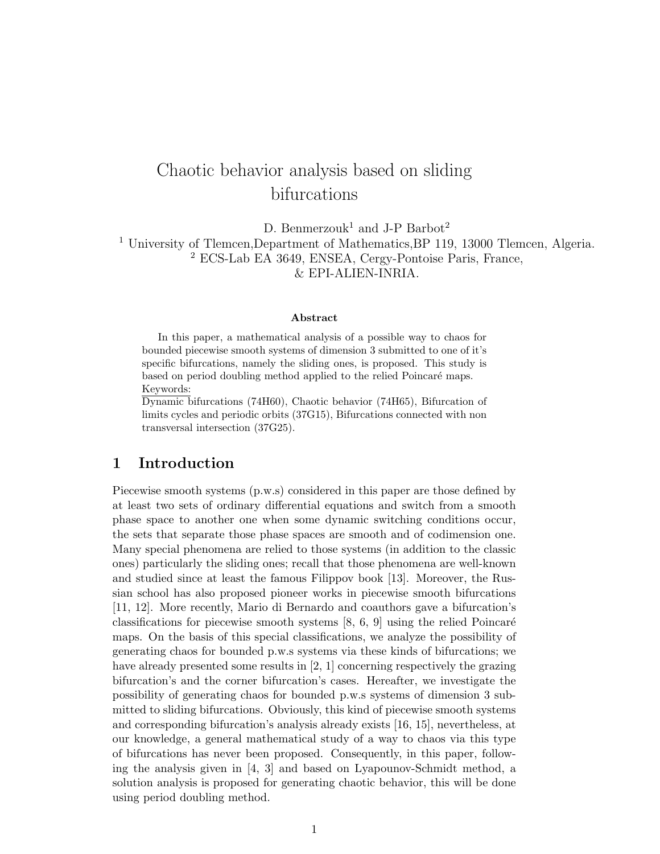## Chaotic behavior analysis based on sliding bifurcations

D. Benmerzouk<sup>1</sup> and J-P Barbot<sup>2</sup> <sup>1</sup> University of Tlemcen,Department of Mathematics,BP 119, 13000 Tlemcen, Algeria. <sup>2</sup> ECS-Lab EA 3649, ENSEA, Cergy-Pontoise Paris, France, & EPI-ALIEN-INRIA.

#### **Abstract**

In this paper, a mathematical analysis of a possible way to chaos for bounded piecewise smooth systems of dimension 3 submitted to one of it's specific bifurcations, namely the sliding ones, is proposed. This study is based on period doubling method applied to the relied Poincaré maps. Keywords:

Dynamic bifurcations (74H60), Chaotic behavior (74H65), Bifurcation of limits cycles and periodic orbits (37G15), Bifurcations connected with non transversal intersection (37G25).

#### **1 Introduction**

Piecewise smooth systems (p.w.s) considered in this paper are those defined by at least two sets of ordinary differential equations and switch from a smooth phase space to another one when some dynamic switching conditions occur, the sets that separate those phase spaces are smooth and of codimension one. Many special phenomena are relied to those systems (in addition to the classic ones) particularly the sliding ones; recall that those phenomena are well-known and studied since at least the famous Filippov book [13]. Moreover, the Russian school has also proposed pioneer works in piecewise smooth bifurcations [11, 12]. More recently, Mario di Bernardo and coauthors gave a bifurcation's classifications for piecewise smooth systems  $[8, 6, 9]$  using the relied Poincaré maps. On the basis of this special classifications, we analyze the possibility of generating chaos for bounded p.w.s systems via these kinds of bifurcations; we have already presented some results in [2, 1] concerning respectively the grazing bifurcation's and the corner bifurcation's cases. Hereafter, we investigate the possibility of generating chaos for bounded p.w.s systems of dimension 3 submitted to sliding bifurcations. Obviously, this kind of piecewise smooth systems and corresponding bifurcation's analysis already exists [16, 15], nevertheless, at our knowledge, a general mathematical study of a way to chaos via this type of bifurcations has never been proposed. Consequently, in this paper, following the analysis given in [4, 3] and based on Lyapounov-Schmidt method, a solution analysis is proposed for generating chaotic behavior, this will be done using period doubling method.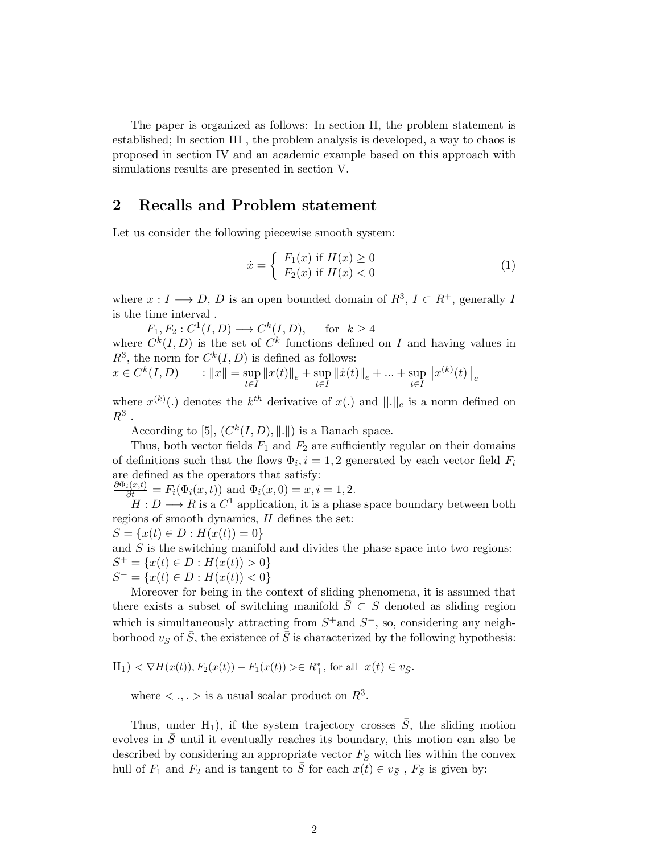The paper is organized as follows: In section II, the problem statement is established; In section III , the problem analysis is developed, a way to chaos is proposed in section IV and an academic example based on this approach with simulations results are presented in section V.

#### **2 Recalls and Problem statement**

Let us consider the following piecewise smooth system:

$$
\dot{x} = \begin{cases} F_1(x) & \text{if } H(x) \ge 0\\ F_2(x) & \text{if } H(x) < 0 \end{cases}
$$
\n(1)

where  $x: I \longrightarrow D$ , *D* is an open bounded domain of  $R^3$ ,  $I \subset R^+$ , generally *I* is the time interval *.*

 $F_1, F_2: C^1(I, D) \longrightarrow C^k(I, D), \text{ for } k \ge 4$ where  $C^k(I, D)$  is the set of  $C^k$  functions defined on *I* and having values in  $R^3$ , the norm for  $C^k(I, D)$  is defined as follows:

$$
x \in C^{k}(I, D) \qquad : \|x\| = \sup_{t \in I} \|x(t)\|_{e} + \sup_{t \in I} \|\dot{x}(t)\|_{e} + \dots + \sup_{t \in I} \|x^{(k)}(t)\|_{e}
$$

where  $x^{(k)}(.)$  denotes the  $k^{th}$  derivative of  $x(.)$  and  $||.||_e$  is a norm defined on  $R^3$ .

According to [5],  $(C^k(I, D), ||.||)$  is a Banach space.

Thus, both vector fields  $F_1$  and  $F_2$  are sufficiently regular on their domains of definitions such that the flows  $\Phi_i$ ,  $i = 1, 2$  generated by each vector field  $F_i$ are defined as the operators that satisfy:

 $\frac{\partial \Phi_i(x,t)}{\partial t} = F_i(\Phi_i(x,t))$  and  $\Phi_i(x,0) = x, i = 1, 2$ .

 $H: D \longrightarrow R$  is a  $C^1$  application, it is a phase space boundary between both regions of smooth dynamics, *H* defines the set:

$$
S = \{x(t) \in D : H(x(t)) = 0\}
$$

and *S* is the switching manifold and divides the phase space into two regions:  $S^+ = \{x(t) \in D : H(x(t)) > 0\}$ 

$$
S^- = \{x(t) \in D : H(x(t)) < 0\}
$$

Moreover for being in the context of sliding phenomena, it is assumed that there exists a subset of switching manifold  $S\subset S$  denoted as sliding region which is simultaneously attracting from  $S^+$  and  $S^-$ , so, considering any neighborhood  $v_{\bar{S}}$  of  $\bar{S}$ , the existence of  $\bar{S}$  is characterized by the following hypothesis:

$$
H_1
$$
  $< \nabla H(x(t)), F_2(x(t)) - F_1(x(t)) > \in R_+^*$ , for all  $x(t) \in v_{\bar{S}}$ .

where  $\langle \cdot, \cdot \rangle$  is a usual scalar product on  $R^3$ .

Thus, under H<sub>1</sub>), if the system trajectory crosses  $\overline{S}$ , the sliding motion evolves in  $\overline{S}$  until it eventually reaches its boundary, this motion can also be described by considering an appropriate vector  $F_{\bar{S}}$  witch lies within the convex hull of  $F_1$  and  $F_2$  and is tangent to  $\overline{S}$  for each  $x(t) \in v_{\overline{S}}$ ,  $F_{\overline{S}}$  is given by: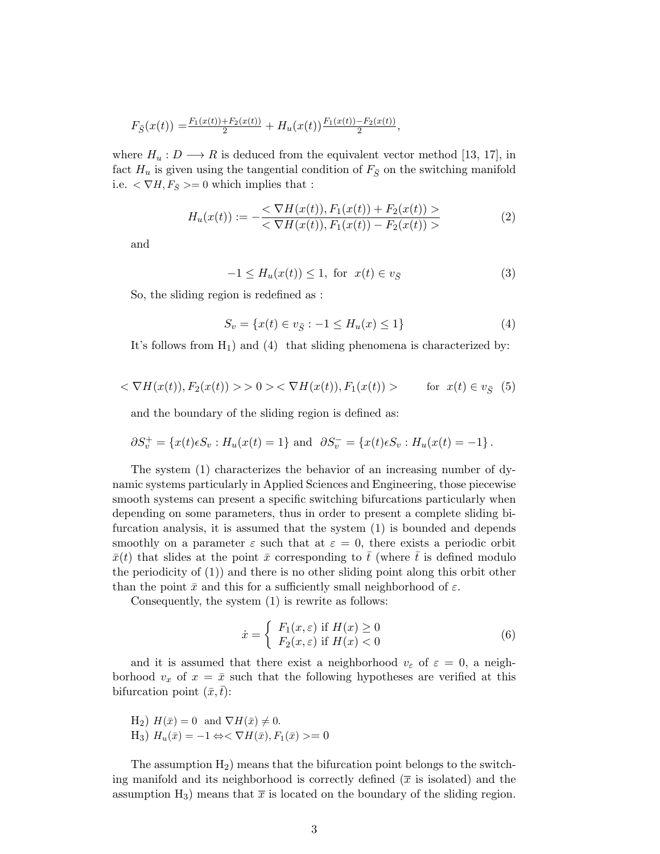$$
F_{\bar{S}}(x(t)) = \frac{F_1(x(t)) + F_2(x(t))}{2} + H_u(x(t)) \frac{F_1(x(t)) - F_2(x(t))}{2},
$$

where  $H_u: D \longrightarrow R$  is deduced from the equivalent vector method [13, 17], in fact  $H_u$  is given using the tangential condition of  $F_{\bar{S}}$  on the switching manifold i.e.  $\langle \nabla H, F_{\overline{S}} \rangle = 0$  which implies that :

$$
H_u(x(t)) := -\frac{<\nabla H(x(t)), F_1(x(t)) + F_2(x(t)) >}{<\nabla H(x(t)), F_1(x(t)) - F_2(x(t)) >}\tag{2}
$$

and

$$
-1 \le H_u(x(t)) \le 1, \text{ for } x(t) \in v_{\overline{S}}
$$
 (3)

So, the sliding region is redefined as :

$$
S_v = \{x(t) \in v_{\bar{S}} : -1 \le H_u(x) \le 1\}
$$
\n(4)

It's follows from  $H_1$ ) and (4) that sliding phenomena is characterized by:

$$
\langle \nabla H(x(t)), F_2(x(t)) \rangle > 0 \rangle < \nabla H(x(t)), F_1(x(t)) > \quad \text{for } x(t) \in v_{\bar{S}} \tag{5}
$$

and the boundary of the sliding region is defined as:

$$
\partial S_v^+ = \{x(t)\epsilon S_v : H_u(x(t) = 1\}
$$
 and  $\partial S_v^- = \{x(t)\epsilon S_v : H_u(x(t) = -1\}$ .

The system (1) characterizes the behavior of an increasing number of dynamic systems particularly in Applied Sciences and Engineering, those piecewise smooth systems can present a specific switching bifurcations particularly when depending on some parameters, thus in order to present a complete sliding bifurcation analysis, it is assumed that the system (1) is bounded and depends smoothly on a parameter  $\varepsilon$  such that at  $\varepsilon = 0$ , there exists a periodic orbit  $\bar{x}(t)$  that slides at the point  $\bar{x}$  corresponding to  $\bar{t}$  (where  $\bar{t}$  is defined modulo the periodicity of (1)) and there is no other sliding point along this orbit other than the point  $\bar{x}$  and this for a sufficiently small neighborhood of  $\varepsilon$ .

Consequently, the system (1) is rewrite as follows:

$$
\dot{x} = \begin{cases} F_1(x,\varepsilon) & \text{if } H(x) \ge 0\\ F_2(x,\varepsilon) & \text{if } H(x) < 0 \end{cases}
$$
 (6)

and it is assumed that there exist a neighborhood  $v_{\varepsilon}$  of  $\varepsilon = 0$ , a neighborhood  $v_x$  of  $x = \bar{x}$  such that the following hypotheses are verified at this bifurcation point  $(\bar{x}, t)$ :

H<sub>2</sub>) 
$$
H(\bar{x}) = 0
$$
 and  $\nabla H(\bar{x}) \neq 0$ .  
H<sub>3</sub>)  $H_u(\bar{x}) = -1 \Leftrightarrow \nabla H(\bar{x}), F_1(\bar{x}) \geq 0$ 

The assumption  $H_2$ ) means that the bifurcation point belongs to the switching manifold and its neighborhood is correctly defined  $(\bar{x}$  is isolated) and the assumption  $H_3$ ) means that  $\bar{x}$  is located on the boundary of the sliding region.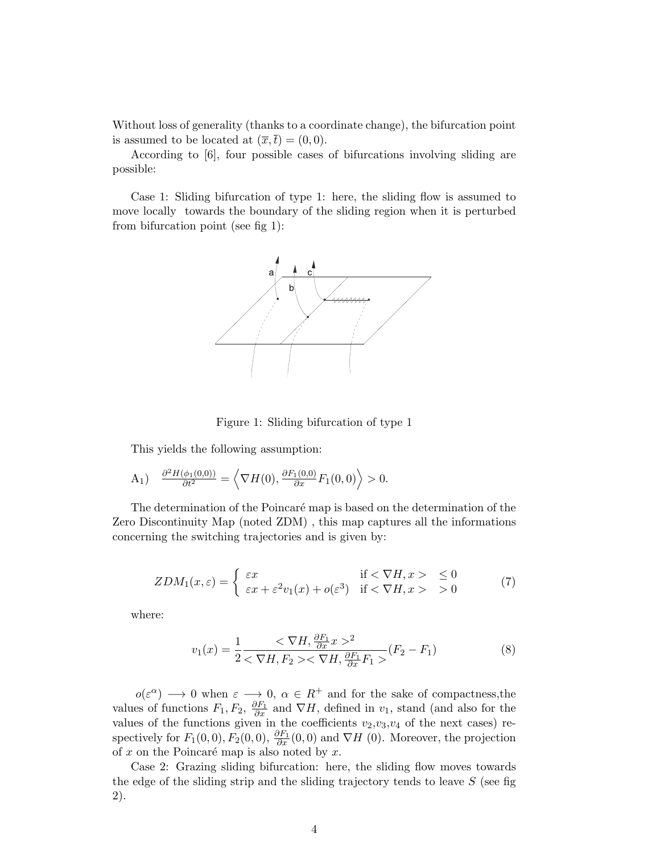Without loss of generality (thanks to a coordinate change), the bifurcation point is assumed to be located at  $(\overline{x}, \overline{t}) = (0, 0)$ .

According to [6], four possible cases of bifurcations involving sliding are possible:

Case 1: Sliding bifurcation of type 1: here, the sliding flow is assumed to move locally towards the boundary of the sliding region when it is perturbed from bifurcation point (see fig 1):



Figure 1: Sliding bifurcation of type 1

This yields the following assumption:

$$
A_1) \quad \frac{\partial^2 H(\phi_1(0,0))}{\partial t^2} = \left\langle \nabla H(0), \frac{\partial F_1(0,0)}{\partial x} F_1(0,0) \right\rangle > 0.
$$

The determination of the Poincaré map is based on the determination of the Zero Discontinuity Map (noted ZDM) , this map captures all the informations concerning the switching trajectories and is given by:

$$
ZDM_1(x,\varepsilon) = \begin{cases} \varepsilon x & \text{if } < \nabla H, x > \le 0 \\ \varepsilon x + \varepsilon^2 v_1(x) + o(\varepsilon^3) & \text{if } < \nabla H, x > \ge 0 \end{cases} \tag{7}
$$

where:

$$
v_1(x) = \frac{1}{2} \frac{<\nabla H, \frac{\partial F_1}{\partial x} x >^2}{<\nabla H, F_2 > <\nabla H, \frac{\partial F_1}{\partial x} F_1 >}(F_2 - F_1)
$$
\n(8)

 $o(\varepsilon^{\alpha}) \longrightarrow 0$  when  $\varepsilon \longrightarrow 0$ ,  $\alpha \in R^{+}$  and for the sake of compactness,the values of functions  $F_1, F_2, \frac{\partial F_1}{\partial x}$  and  $\nabla H$ , defined in  $v_1$ , stand (and also for the values of the functions given in the coefficients  $v_2, v_3, v_4$  of the next cases) respectively for  $F_1(0,0)$ ,  $F_2(0,0)$ ,  $\frac{\partial F_1}{\partial x}(0,0)$  and  $\nabla H(0)$ . Moreover, the projection of  $x$  on the Poincaré map is also noted by  $x$ .

Case 2: Grazing sliding bifurcation: here, the sliding flow moves towards the edge of the sliding strip and the sliding trajectory tends to leave *S* (see fig 2).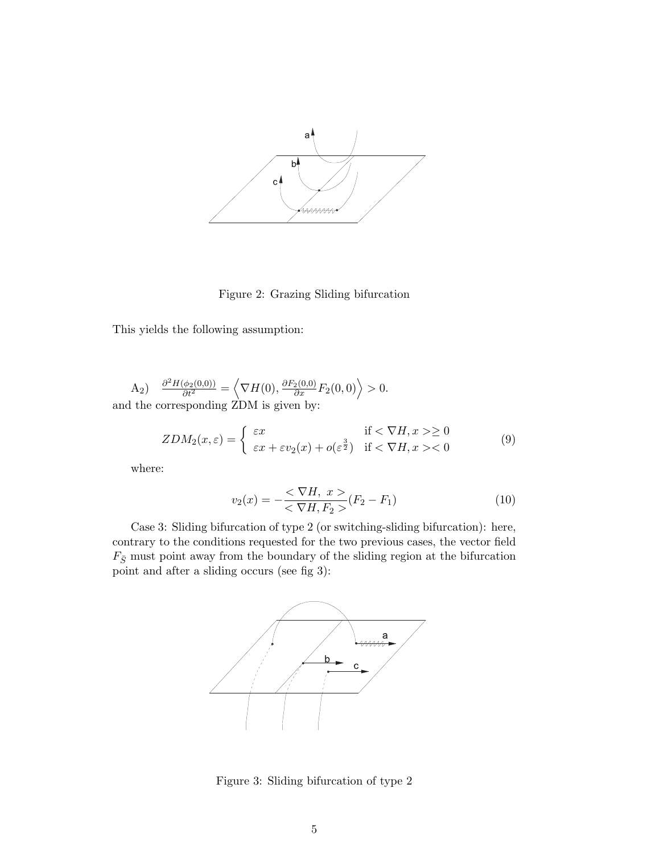

Figure 2: Grazing Sliding bifurcation

This yields the following assumption:

 $\frac{\partial^2 H(\phi_2(0,0))}{\partial t^2} = \left\langle \nabla H(0), \frac{\partial F_2(0,0)}{\partial x} F_2(0,0) \right\rangle > 0.$ and the corresponding ZDM is given by:

$$
ZDM_2(x,\varepsilon) = \begin{cases} \varepsilon x & \text{if } < \nabla H, x > \ge 0 \\ \varepsilon x + \varepsilon v_2(x) + o(\varepsilon^{\frac{3}{2}}) & \text{if } < \nabla H, x > < 0 \end{cases} \tag{9}
$$

where:

$$
v_2(x) = -\frac{<\nabla H, \ x >}{<\nabla H, F_2 >}(F_2 - F_1) \tag{10}
$$

Case 3: Sliding bifurcation of type 2 (or switching-sliding bifurcation): here, contrary to the conditions requested for the two previous cases, the vector field  $F_{\bar{S}}$  must point away from the boundary of the sliding region at the bifurcation point and after a sliding occurs (see fig 3):



Figure 3: Sliding bifurcation of type 2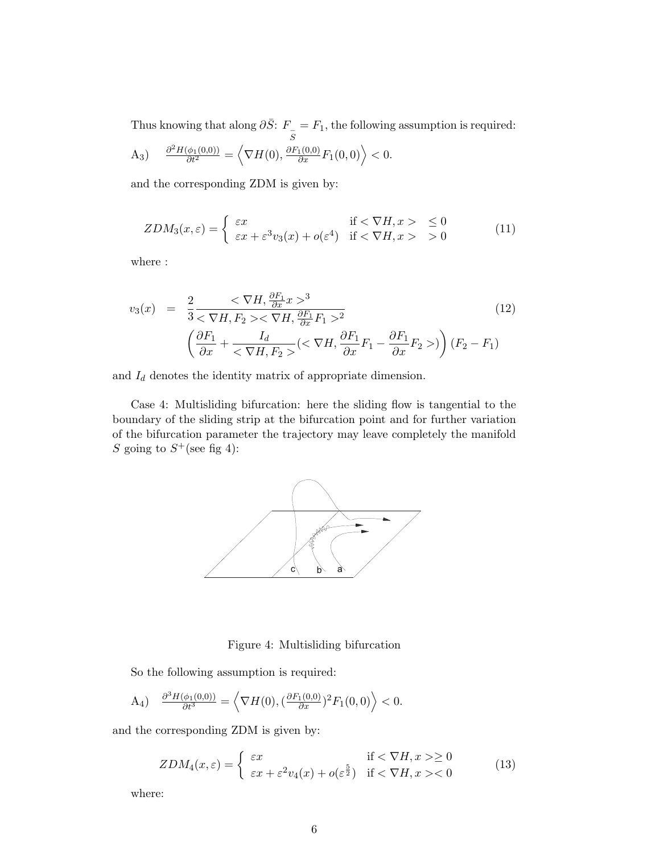Thus knowing that along  $\partial \bar{S}$ :  $F_{\overline{S}}$  $= F_1$ , the following assumption is required:

A<sub>3</sub>) 
$$
\frac{\partial^2 H(\phi_1(0,0))}{\partial t^2} = \left\langle \nabla H(0), \frac{\partial F_1(0,0)}{\partial x} F_1(0,0) \right\rangle < 0.
$$

and the corresponding ZDM is given by:

$$
ZDM_3(x,\varepsilon) = \begin{cases} \varepsilon x & \text{if } < \nabla H, x > \le 0 \\ \varepsilon x + \varepsilon^3 v_3(x) + o(\varepsilon^4) & \text{if } < \nabla H, x > \ge 0 \end{cases} \tag{11}
$$

where :

$$
v_3(x) = \frac{2}{3} \frac{<\nabla H, \frac{\partial F_1}{\partial x} x >^3}{<\nabla H, F_2 >< \nabla H, \frac{\partial F_1}{\partial x} F_1 >^2} \left(\frac{\partial F_1}{\partial x} + \frac{I_d}{<\nabla H, F_2 ><}(XH, \frac{\partial F_1}{\partial x} F_1 - \frac{\partial F_1}{\partial x} F_2 >>\right) (F_2 - F_1)
$$
\n
$$
(12)
$$

and  $\mathcal{I}_d$  denotes the identity matrix of appropriate dimension.

Case 4: Multisliding bifurcation: here the sliding flow is tangential to the boundary of the sliding strip at the bifurcation point and for further variation of the bifurcation parameter the trajectory may leave completely the manifold *S* going to  $S^+$  (see fig 4):



Figure 4: Multisliding bifurcation

So the following assumption is required:

$$
A_4) \quad \frac{\partial^3 H(\phi_1(0,0))}{\partial t^3} = \left\langle \nabla H(0), \left(\frac{\partial F_1(0,0)}{\partial x}\right)^2 F_1(0,0) \right\rangle < 0.
$$

and the corresponding ZDM is given by:

$$
ZDM_4(x,\varepsilon) = \begin{cases} \varepsilon x & \text{if } < \nabla H, x > \ge 0 \\ \varepsilon x + \varepsilon^2 v_4(x) + o(\varepsilon^{\frac{5}{2}}) & \text{if } < \nabla H, x > < 0 \end{cases} \tag{13}
$$

where: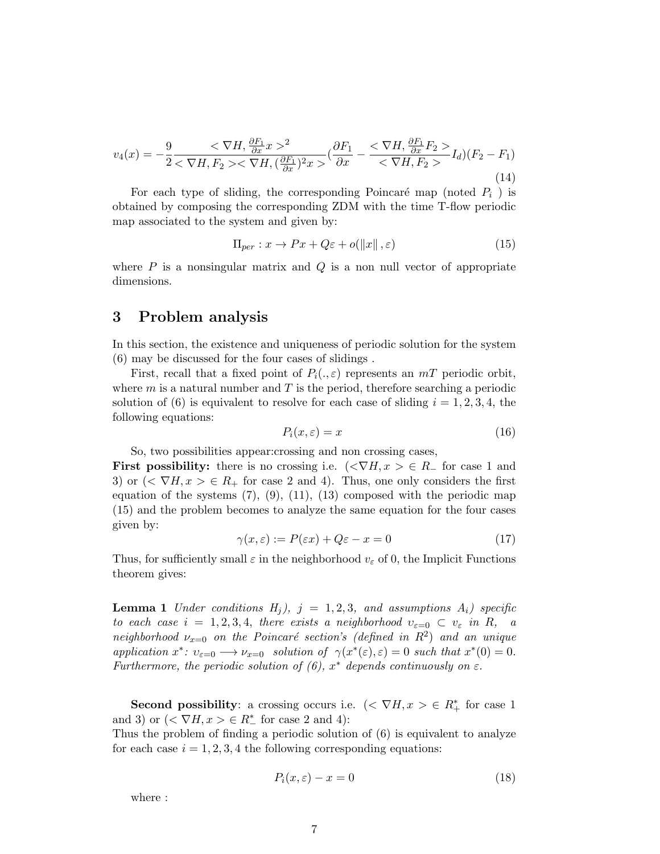$$
v_4(x) = -\frac{9}{2} \frac{<\nabla H, \frac{\partial F_1}{\partial x} x>^2}{<\nabla H, F_2><\nabla H, (\frac{\partial F_1}{\partial x})^2 x>} (\frac{\partial F_1}{\partial x} - \frac{<\nabla H, \frac{\partial F_1}{\partial x} F_2>}{<\nabla H, F_2>} I_d)(F_2 - F_1)
$$
\n(14)

For each type of sliding, the corresponding Poincaré map (noted  $P_i$ ) is obtained by composing the corresponding ZDM with the time T-flow periodic map associated to the system and given by:

$$
\Pi_{per} : x \to Px + Q\varepsilon + o(\|x\|, \varepsilon)
$$
\n<sup>(15)</sup>

where *P* is a nonsingular matrix and *Q* is a non null vector of appropriate dimensions.

#### **3 Problem analysis**

In this section, the existence and uniqueness of periodic solution for the system (6) may be discussed for the four cases of slidings .

First, recall that a fixed point of  $P_i(.,\varepsilon)$  represents an  $mT$  periodic orbit, where *m* is a natural number and *T* is the period, therefore searching a periodic solution of (6) is equivalent to resolve for each case of sliding  $i = 1, 2, 3, 4$ , the following equations:

$$
P_i(x,\varepsilon) = x \tag{16}
$$

So, two possibilities appear:crossing and non crossing cases,

**First possibility:** there is no crossing i.e.  $(\langle \nabla H, x \rangle \in R_{-}$  for case 1 and 3) or  $( $\nabla H, x > \in R_+$  for case 2 and 4). Thus, one only considers the first$ equation of the systems  $(7), (9), (11), (13)$  composed with the periodic map (15) and the problem becomes to analyze the same equation for the four cases given by:

$$
\gamma(x,\varepsilon) := P(\varepsilon x) + Q\varepsilon - x = 0 \tag{17}
$$

Thus, for sufficiently small  $\varepsilon$  in the neighborhood  $v_{\varepsilon}$  of 0, the Implicit Functions theorem gives:

**Lemma 1** *Under conditions*  $H_j$ *),*  $j = 1, 2, 3$ *, and assumptions*  $A_i$ *) specific to each case*  $i = 1, 2, 3, 4$ *, there exists a neighborhood*  $v_{\varepsilon=0} \subset v_{\varepsilon}$  *in R, a neighborhood*  $\nu_{x=0}$  *on the Poincaré section's (defined in*  $R^2$ ) *and an unique application*  $x^*$ :  $v_{\varepsilon=0} \longrightarrow \nu_{x=0}$  *solution of*  $\gamma(x^*(\varepsilon), \varepsilon) = 0$  *such that*  $x^*(0) = 0$ . *Furthermore, the periodic solution of (6),*  $x^*$  *depends continuously on*  $\varepsilon$ .

**Second possibility**: a crossing occurs i.e.  $\left( \langle \nabla H, x \rangle \in R^*$  for case 1 and 3) or  $( $\nabla H, x > \in R^*$  for case 2 and 4):$ 

Thus the problem of finding a periodic solution of (6) is equivalent to analyze for each case  $i = 1, 2, 3, 4$  the following corresponding equations:

$$
P_i(x,\varepsilon) - x = 0\tag{18}
$$

where :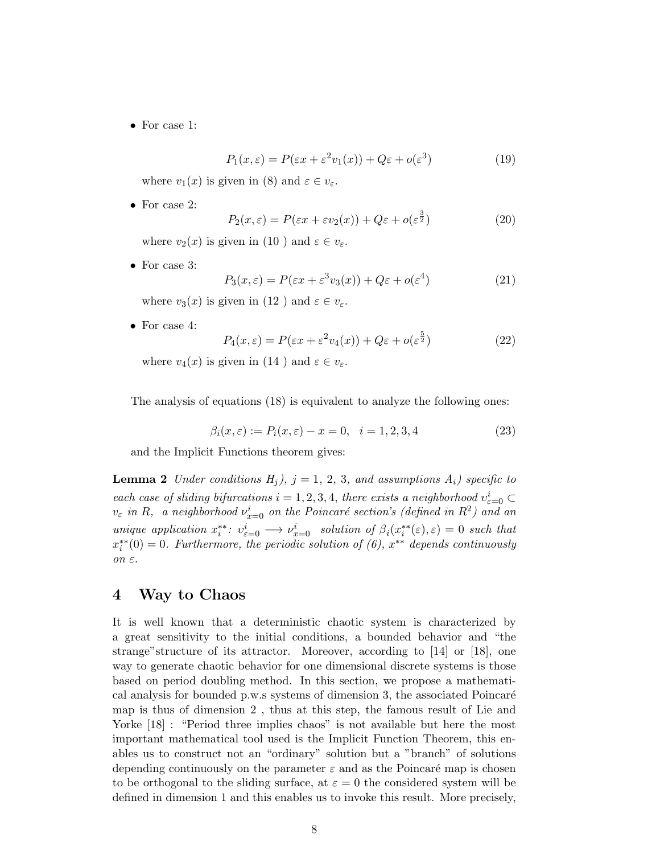*•* For case 1:

$$
P_1(x,\varepsilon) = P(\varepsilon x + \varepsilon^2 v_1(x)) + Q\varepsilon + o(\varepsilon^3)
$$
\n(19)

where  $v_1(x)$  is given in (8) and  $\varepsilon \in v_{\varepsilon}$ .

*•* For case 2:

$$
P_2(x,\varepsilon) = P(\varepsilon x + \varepsilon v_2(x)) + Q\varepsilon + o(\varepsilon^{\frac{3}{2}})
$$
\n(20)

where  $v_2(x)$  is given in (10) and  $\varepsilon \in v_{\varepsilon}$ .

*•* For case 3:

$$
P_3(x,\varepsilon) = P(\varepsilon x + \varepsilon^3 v_3(x)) + Q\varepsilon + o(\varepsilon^4)
$$
\n(21)

where  $v_3(x)$  is given in (12) and  $\varepsilon \in v_{\varepsilon}$ .

*•* For case 4:

$$
P_4(x,\varepsilon) = P(\varepsilon x + \varepsilon^2 v_4(x)) + Q\varepsilon + o(\varepsilon^{\frac{5}{2}})
$$
\n(22)

where  $v_4(x)$  is given in (14) and  $\varepsilon \in v_{\varepsilon}$ .

The analysis of equations (18) is equivalent to analyze the following ones:

$$
\beta_i(x,\varepsilon) := P_i(x,\varepsilon) - x = 0, \quad i = 1,2,3,4 \tag{23}
$$

and the Implicit Functions theorem gives:

**Lemma 2** *Under conditions*  $H_j$ *),*  $j = 1, 2, 3$ *, and assumptions*  $A_i$ *) specific to each case of sliding bifurcations*  $i = 1, 2, 3, 4$ *, there exists a neighborhood*  $v_{\varepsilon=0}^i \subset$  $v_{\varepsilon}$  *in R*, a neighborhood  $v_{x=0}^i$  on the Poincaré section's (defined in  $R^2$ ) and an unique application  $x_i^{**}: v_{\varepsilon=0}^i \longrightarrow \nu_{x=0}^i$  solution of  $\beta_i(x_i^{**}(\varepsilon), \varepsilon) = 0$  such that *x ∗∗ i* (0) = 0*. Furthermore, the periodic solution of (6), x ∗∗ depends continuously on ε.*

#### **4 Way to Chaos**

It is well known that a deterministic chaotic system is characterized by a great sensitivity to the initial conditions, a bounded behavior and "the strange"structure of its attractor. Moreover, according to [14] or [18], one way to generate chaotic behavior for one dimensional discrete systems is those based on period doubling method. In this section, we propose a mathematical analysis for bounded p.w.s systems of dimension 3, the associated Poincaré map is thus of dimension 2 , thus at this step, the famous result of Lie and Yorke  $[18]$ : "Period three implies chaos" is not available but here the most important mathematical tool used is the Implicit Function Theorem, this enables us to construct not an "ordinary" solution but a "branch" of solutions depending continuously on the parameter  $\varepsilon$  and as the Poincaré map is chosen to be orthogonal to the sliding surface, at  $\varepsilon = 0$  the considered system will be defined in dimension 1 and this enables us to invoke this result. More precisely,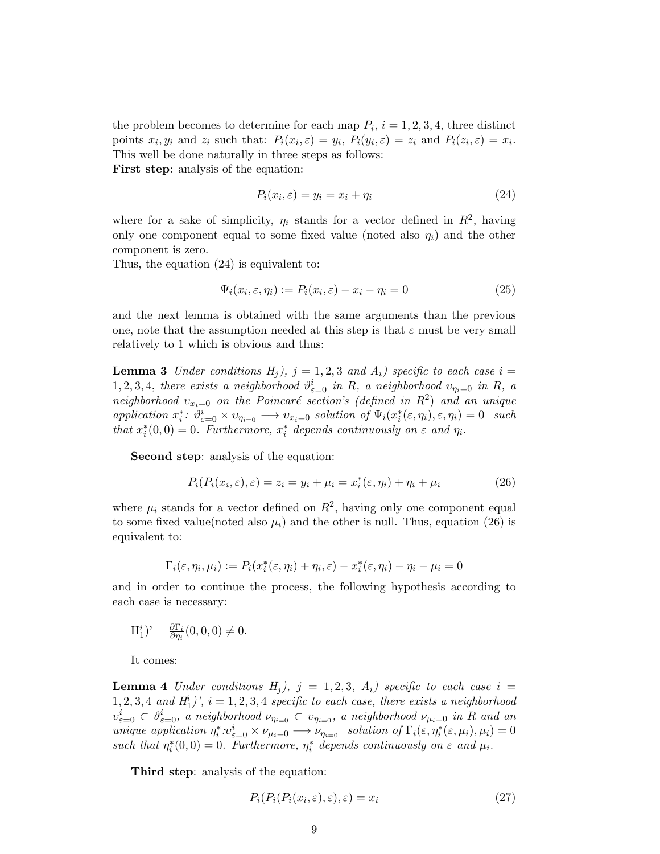the problem becomes to determine for each map  $P_i$ ,  $i = 1, 2, 3, 4$ , three distinct points  $x_i, y_i$  and  $z_i$  such that:  $P_i(x_i, \varepsilon) = y_i$ ,  $P_i(y_i, \varepsilon) = z_i$  and  $P_i(z_i, \varepsilon) = x_i$ . This well be done naturally in three steps as follows:

**First step**: analysis of the equation:

$$
P_i(x_i, \varepsilon) = y_i = x_i + \eta_i \tag{24}
$$

where for a sake of simplicity,  $\eta_i$  stands for a vector defined in  $R^2$ , having only one component equal to some fixed value (noted also  $\eta_i$ ) and the other component is zero.

Thus, the equation (24) is equivalent to:

$$
\Psi_i(x_i, \varepsilon, \eta_i) := P_i(x_i, \varepsilon) - x_i - \eta_i = 0 \tag{25}
$$

and the next lemma is obtained with the same arguments than the previous one, note that the assumption needed at this step is that  $\varepsilon$  must be very small relatively to 1 which is obvious and thus:

**Lemma 3** *Under conditions*  $H_i$ ,  $j = 1, 2, 3$  *and*  $A_i$ , *specific to each case*  $i =$ 1, 2, 3, 4, there exists a neighborhood  $\vartheta_{\varepsilon=0}^i$  in R, a neighborhood  $v_{\eta_i=0}$  in R, a  $neighborhood$   $v_{x_i=0}$  *on the Poincaré section's (defined in*  $R^2$ ) *and an unique* application  $x_i^*$ :  $\vartheta_{\varepsilon=0}^i \times v_{\eta_{i=0}} \longrightarrow v_{x_i=0}$  solution of  $\Psi_i(x_i^*(\varepsilon, \eta_i), \varepsilon, \eta_i) = 0$  such *that*  $x_i^*(0,0) = 0$ *. Furthermore,*  $x_i^*$  depends continuously on  $\varepsilon$  and  $\eta_i$ .

**Second step**: analysis of the equation:

$$
P_i(P_i(x_i, \varepsilon), \varepsilon) = z_i = y_i + \mu_i = x_i^*(\varepsilon, \eta_i) + \eta_i + \mu_i \tag{26}
$$

where  $\mu_i$  stands for a vector defined on  $R^2$ , having only one component equal to some fixed value(noted also  $\mu_i$ ) and the other is null. Thus, equation (26) is equivalent to:

$$
\Gamma_i(\varepsilon,\eta_i,\mu_i) := P_i(x_i^*(\varepsilon,\eta_i) + \eta_i,\varepsilon) - x_i^*(\varepsilon,\eta_i) - \eta_i - \mu_i = 0
$$

and in order to continue the process, the following hypothesis according to each case is necessary:

$$
\mathcal{H}_1^i)'\quad \frac{\partial \Gamma_i}{\partial \eta_i}(0,0,0)\neq 0.
$$

It comes:

**Lemma 4** *Under conditions*  $H_j$ *),*  $j = 1, 2, 3, A_i$ *) specific to each case*  $i =$  $1, 2, 3, 4$  *and*  $H_1^i$ <sup>*)*</sup>,  $i = 1, 2, 3, 4$  *specific to each case, there exists a neighborhood*  $v_{\varepsilon=0}^i\subset \vartheta_{\varepsilon=0}^i$ , a neighborhood  $\nu_{\eta_{i=0}}\subset v_{\eta_{i=0}}$ , a neighborhood  $\nu_{\mu_i=0}$  in R and an unique application  $\eta_i^* \cdot v_{\varepsilon=0}^i \times \nu_{\mu_i=0} \longrightarrow \nu_{\eta_{i=0}}$  solution of  $\Gamma_i(\varepsilon, \eta_i^*(\varepsilon, \mu_i), \mu_i) = 0$ *such that*  $\eta_i^*(0,0) = 0$ *. Furthermore,*  $\eta_i^*$  depends continuously on  $\varepsilon$  and  $\mu_i$ .

**Third step**: analysis of the equation:

$$
P_i(P_i(P_i(x_i, \varepsilon), \varepsilon), \varepsilon) = x_i \tag{27}
$$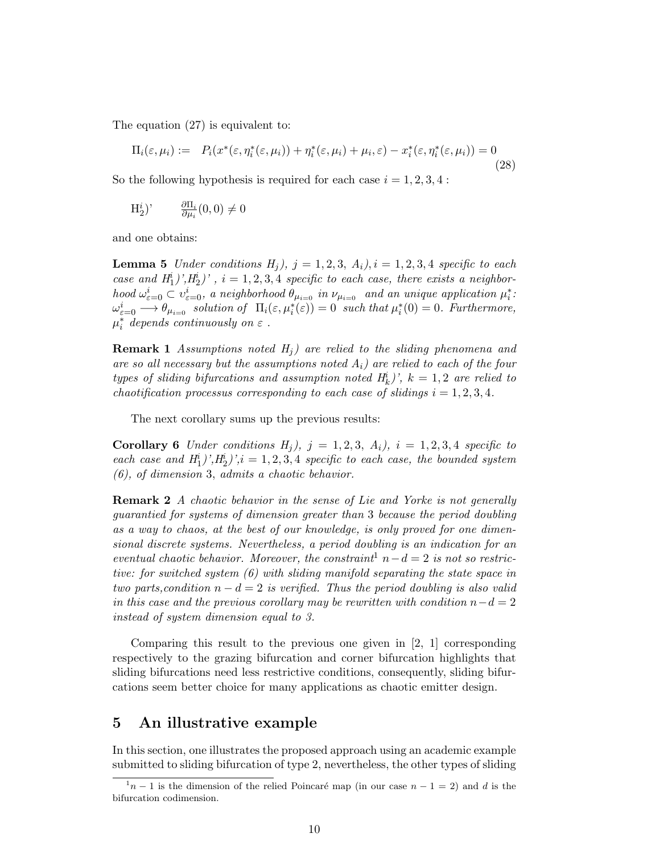The equation (27) is equivalent to:

$$
\Pi_i(\varepsilon, \mu_i) := P_i(x^*(\varepsilon, \eta_i^*(\varepsilon, \mu_i)) + \eta_i^*(\varepsilon, \mu_i) + \mu_i, \varepsilon) - x_i^*(\varepsilon, \eta_i^*(\varepsilon, \mu_i)) = 0
$$
\n(28)

So the following hypothesis is required for each case  $i = 1, 2, 3, 4$ :

$$
\mathrm{H}_{2}^{i})' \qquad \frac{\partial \Pi_{i}}{\partial \mu_{i}}(0,0) \neq 0
$$

and one obtains:

**Lemma 5** *Under conditions*  $H_i$ *),*  $j = 1, 2, 3, A_i$ *),*  $i = 1, 2, 3, 4$  *specific to each case and*  $H_1^i$  $), H_2^i$  $), i = 1, 2, 3, 4$  *specific to each case, there exists a neighbor*hood  $\omega_{\varepsilon=0}^i \subset v_{\varepsilon=0}^i$ , a neighborhood  $\theta_{\mu_{i=0}}$  in  $\nu_{\mu_{i=0}}$  and an unique application  $\mu_i^*$ :  $\omega_{\varepsilon=0}^{i} \longrightarrow \theta_{\mu_{i=0}}$  solution of  $\Pi_{i}(\varepsilon, \mu_{i}^{*}(\varepsilon)) = 0$  such that  $\mu_{i}^{*}(0) = 0$ . Furthermore,  $\mu_i^*$  depends continuously on  $\varepsilon$  .

**Remark 1** *Assumptions noted H<sup>j</sup> ) are relied to the sliding phenomena and are so all necessary but the assumptions noted Ai) are relied to each of the four types of sliding bifurcations and assumption noted*  $H_k^i$ *)',*  $k = 1, 2$  *are relied to chaotification processus corresponding to each case of slidings*  $i = 1, 2, 3, 4$ .

The next corollary sums up the previous results:

**Corollary 6** *Under conditions*  $H_i$ *),*  $j = 1, 2, 3, A_i$ *),*  $i = 1, 2, 3, 4$  *specific to each case and*  $H_1^i$  $), H_2^i$  $), i = 1, 2, 3, 4$  *specific to each case, the bounded system (6), of dimension* 3*, admits a chaotic behavior.*

**Remark 2** *A chaotic behavior in the sense of Lie and Yorke is not generally guarantied for systems of dimension greater than* 3 *because the period doubling as a way to chaos, at the best of our knowledge, is only proved for one dimensional discrete systems. Nevertheless, a period doubling is an indication for an eventual chaotic behavior. Moreover, the constraint*<sup>1</sup>  $n - d = 2$  *is not so restrictive: for switched system (6) with sliding manifold separating the state space in two parts,condition*  $n - d = 2$  *is verified. Thus the period doubling is also valid in this case and the previous corollary may be rewritten with condition*  $n - d = 2$ *instead of system dimension equal to 3.*

Comparing this result to the previous one given in [2, 1] corresponding respectively to the grazing bifurcation and corner bifurcation highlights that sliding bifurcations need less restrictive conditions, consequently, sliding bifurcations seem better choice for many applications as chaotic emitter design.

#### **5 An illustrative example**

In this section, one illustrates the proposed approach using an academic example submitted to sliding bifurcation of type 2, nevertheless, the other types of sliding

 $\frac{1}{n-1}$  is the dimension of the relied Poincaré map (in our case  $n-1=2$ ) and *d* is the bifurcation codimension.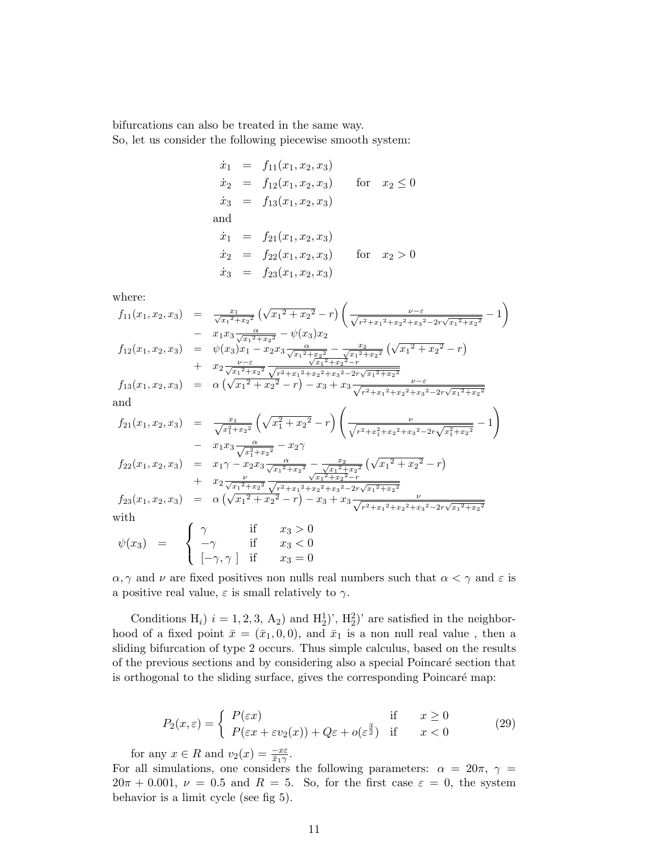bifurcations can also be treated in the same way.

So, let us consider the following piecewise smooth system:

$$
\dot{x}_1 = f_{11}(x_1, x_2, x_3)
$$
\n
$$
\dot{x}_2 = f_{12}(x_1, x_2, x_3) \quad \text{for} \quad x_2 \le 0
$$
\n
$$
\dot{x}_3 = f_{13}(x_1, x_2, x_3)
$$
\nand\n
$$
\dot{x}_1 = f_{21}(x_1, x_2, x_3)
$$
\n
$$
\dot{x}_2 = f_{22}(x_1, x_2, x_3) \quad \text{for} \quad x_2 > 0
$$
\n
$$
\dot{x}_3 = f_{23}(x_1, x_2, x_3)
$$

where:

$$
f_{11}(x_1, x_2, x_3) = \frac{x_1}{\sqrt{x_1^2 + x_2^2}} \left(\sqrt{x_1^2 + x_2^2} - r\right) \left(\frac{\nu - \varepsilon}{\sqrt{r^2 + x_1^2 + x_2^2 + x_3^2 - 2r\sqrt{x_1^2 + x_2^2}}} - 1\right)
$$
  
\n
$$
- x_1 x_3 \frac{\alpha}{\sqrt{x_1^2 + x_2^2}} - \psi(x_3) x_2
$$
  
\n
$$
f_{12}(x_1, x_2, x_3) = \psi(x_3) x_1 - x_2 x_3 \frac{\alpha}{\sqrt{x_1^2 + x_2^2}} - \frac{x_2}{\sqrt{x_1^2 + x_2^2}} \left(\sqrt{x_1^2 + x_2^2} - r\right)
$$
  
\n
$$
+ x_2 \frac{\nu - \varepsilon}{\sqrt{x_1^2 + x_2^2}} \frac{\sqrt{x_1^2 + x_2^2} - \frac{x_2}{\sqrt{x_1^2 + x_2^2} - r}}{\sqrt{x_1^2 + x_2^2} - r} \frac{\nu - \varepsilon}{\sqrt{x_1^2 + x_2^2}} - r
$$
  
\nand  
\n
$$
f_{21}(x_1, x_2, x_3) = \frac{x_1}{\sqrt{x_1^2 + x_2^2}} \left(\sqrt{x_1^2 + x_2^2} - r\right) \left(\frac{\nu}{\sqrt{r^2 + x_1^2 + x_2^2 + x_3^2 - 2r\sqrt{x_1^2 + x_2^2}}} - 1\right)
$$
  
\n
$$
- x_1 x_3 \frac{\alpha}{\sqrt{x_1^2 + x_2^2}} - x_2 \gamma
$$
  
\n
$$
f_{22}(x_1, x_2, x_3) = x_1 \gamma - x_2 x_3 \frac{\alpha}{\sqrt{x_1^2 + x_2^2}} - \frac{x_2}{\sqrt{x_1^2 + x_2^2}} \left(\sqrt{x_1^2 + x_2^2} - r\right)
$$

$$
f_{22}(x_1, x_2, x_3) = x_1 \gamma - x_2 x_3 \frac{\alpha}{\sqrt{x_1^2 + x_2^2}} - \frac{x_2}{\sqrt{x_1^2 + x_2^2}} \left(\sqrt{x_1^2 + x_2^2} - r\right)
$$
  
+  $x_2 \frac{\nu}{\sqrt{x_1^2 + x_2^2}} \frac{\nu}{\sqrt{r_1^2 + x_2^2 - r}}$   

$$
f_{23}(x_1, x_2, x_3) = \alpha \left(\sqrt{x_1^2 + x_2^2} - r\right) - x_3 + x_3 \frac{\nu}{\sqrt{r^2 + x_1^2 + x_2^2 + x_3^2 - 2r\sqrt{x_1^2 + x_2^2}}}
$$
  
with  
with  

$$
\int \gamma \quad \text{if} \quad x_3 > 0
$$
  

$$
g_0(x_1) = \int \gamma \quad \text{if} \quad x_3 > 0
$$

$$
\psi(x_3) = \begin{cases} \gamma & \text{if } x_3 > 0 \\ -\gamma & \text{if } x_3 < 0 \\ \left[-\gamma, \gamma\right] & \text{if } x_3 = 0 \end{cases}
$$

*α*,  $\gamma$  and *ν* are fixed positives non nulls real numbers such that  $\alpha < \gamma$  and  $\varepsilon$  is a positive real value,  $\varepsilon$  is small relatively to  $\gamma$ .

Conditions  $H_i$ )  $i = 1, 2, 3, A_2$ ) and  $H_2^1$ ',  $H_2^2$ ' are satisfied in the neighborhood of a fixed point  $\bar{x} = (\bar{x}_1, 0, 0)$ , and  $\bar{x}_1$  is a non null real value, then a sliding bifurcation of type 2 occurs. Thus simple calculus, based on the results of the previous sections and by considering also a special Poincar´e section that is orthogonal to the sliding surface, gives the corresponding Poincaré map:

$$
P_2(x,\varepsilon) = \begin{cases} P(\varepsilon x) & \text{if } x \ge 0\\ P(\varepsilon x + \varepsilon v_2(x)) + Q\varepsilon + o(\varepsilon^{\frac{3}{2}}) & \text{if } x < 0 \end{cases}
$$
(29)

for any  $x \in R$  and  $v_2(x) = \frac{-x\varepsilon}{\bar{x}_1\gamma}$ .

For all simulations, one considers the following parameters:  $\alpha = 20\pi$ ,  $\gamma =$  $20\pi + 0.001$ ,  $\nu = 0.5$  and  $R = 5$ . So, for the first case  $\varepsilon = 0$ , the system behavior is a limit cycle (see fig 5).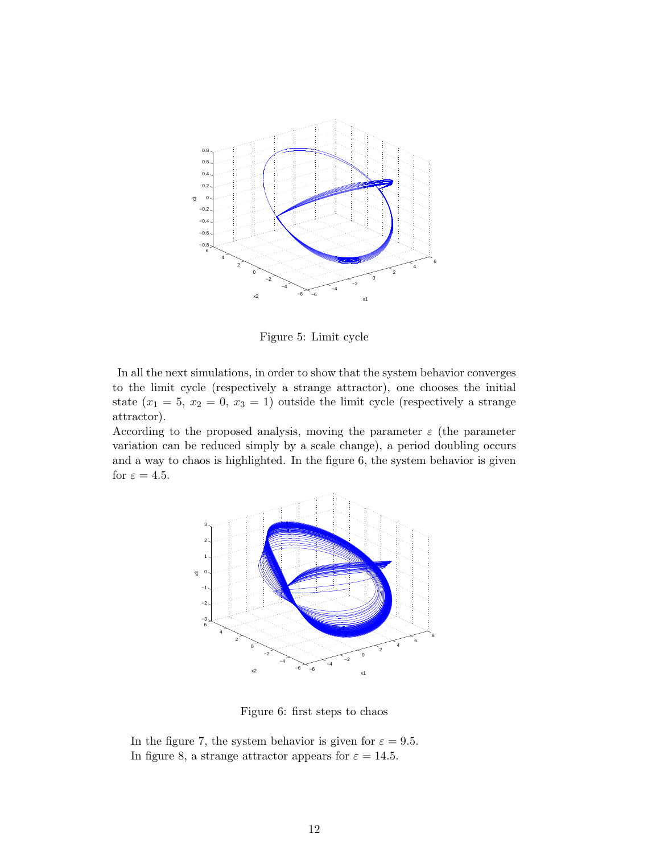

Figure 5: Limit cycle

In all the next simulations, in order to show that the system behavior converges to the limit cycle (respectively a strange attractor), one chooses the initial state  $(x_1 = 5, x_2 = 0, x_3 = 1)$  outside the limit cycle (respectively a strange attractor).

According to the proposed analysis, moving the parameter  $\varepsilon$  (the parameter variation can be reduced simply by a scale change), a period doubling occurs and a way to chaos is highlighted. In the figure 6, the system behavior is given for  $\varepsilon = 4.5$ .



Figure 6: first steps to chaos

In the figure 7, the system behavior is given for  $\varepsilon = 9.5$ . In figure 8, a strange attractor appears for  $\varepsilon = 14.5$ .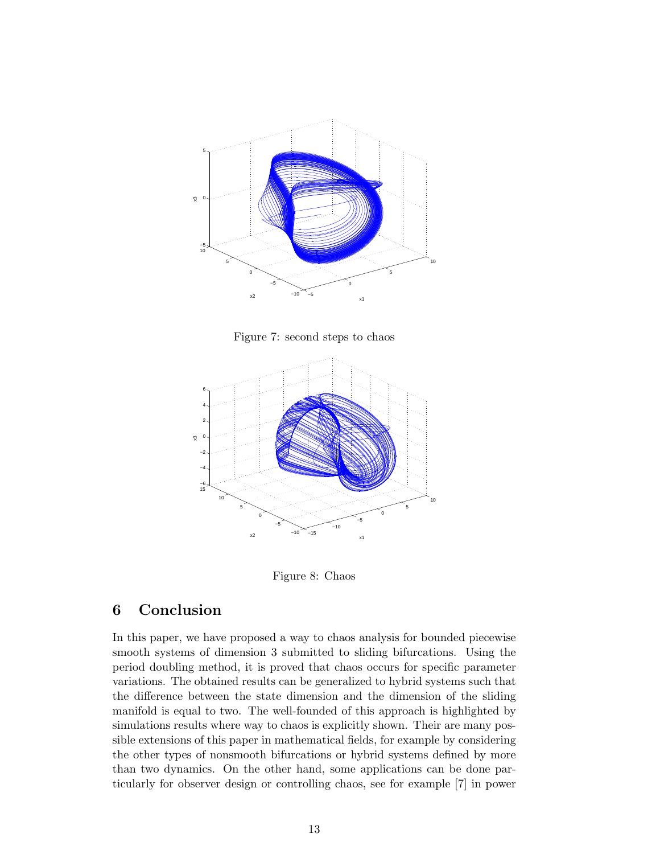

Figure 7: second steps to chaos



Figure 8: Chaos

### **6 Conclusion**

In this paper, we have proposed a way to chaos analysis for bounded piecewise smooth systems of dimension 3 submitted to sliding bifurcations. Using the period doubling method, it is proved that chaos occurs for specific parameter variations. The obtained results can be generalized to hybrid systems such that the difference between the state dimension and the dimension of the sliding manifold is equal to two. The well-founded of this approach is highlighted by simulations results where way to chaos is explicitly shown. Their are many possible extensions of this paper in mathematical fields, for example by considering the other types of nonsmooth bifurcations or hybrid systems defined by more than two dynamics. On the other hand, some applications can be done particularly for observer design or controlling chaos, see for example [7] in power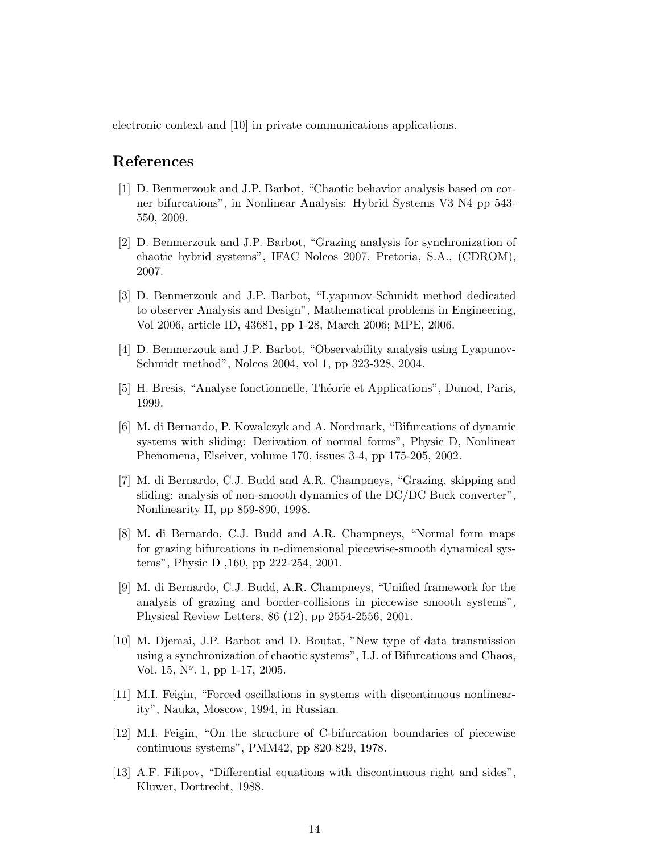electronic context and [10] in private communications applications.

#### **References**

- [1] D. Benmerzouk and J.P. Barbot, "Chaotic behavior analysis based on corner bifurcations", in Nonlinear Analysis: Hybrid Systems V3 N4 pp 543- 550, 2009.
- [2] D. Benmerzouk and J.P. Barbot, "Grazing analysis for synchronization of chaotic hybrid systems", IFAC Nolcos 2007, Pretoria, S.A., (CDROM), 2007.
- [3] D. Benmerzouk and J.P. Barbot, "Lyapunov-Schmidt method dedicated to observer Analysis and Design", Mathematical problems in Engineering, Vol 2006, article ID, 43681, pp 1-28, March 2006; MPE, 2006.
- [4] D. Benmerzouk and J.P. Barbot, "Observability analysis using Lyapunov-Schmidt method", Nolcos 2004, vol 1, pp 323-328, 2004.
- [5] H. Bresis, "Analyse fonctionnelle, Théorie et Applications", Dunod, Paris, 1999.
- [6] M. di Bernardo, P. Kowalczyk and A. Nordmark, "Bifurcations of dynamic systems with sliding: Derivation of normal forms", Physic D, Nonlinear Phenomena, Elseiver, volume 170, issues 3-4, pp 175-205, 2002.
- [7] M. di Bernardo, C.J. Budd and A.R. Champneys, "Grazing, skipping and sliding: analysis of non-smooth dynamics of the DC/DC Buck converter", Nonlinearity II, pp 859-890, 1998.
- [8] M. di Bernardo, C.J. Budd and A.R. Champneys, "Normal form maps for grazing bifurcations in n-dimensional piecewise-smooth dynamical systems", Physic D ,160, pp 222-254, 2001.
- [9] M. di Bernardo, C.J. Budd, A.R. Champneys, "Unified framework for the analysis of grazing and border-collisions in piecewise smooth systems", Physical Review Letters, 86 (12), pp 2554-2556, 2001.
- [10] M. Djemai, J.P. Barbot and D. Boutat, "New type of data transmission using a synchronization of chaotic systems", I.J. of Bifurcations and Chaos, Vol. 15, N*<sup>o</sup>* . 1, pp 1-17, 2005.
- [11] M.I. Feigin, "Forced oscillations in systems with discontinuous nonlinearity", Nauka, Moscow, 1994, in Russian.
- [12] M.I. Feigin, "On the structure of C-bifurcation boundaries of piecewise continuous systems", PMM42, pp 820-829, 1978.
- [13] A.F. Filipov, "Differential equations with discontinuous right and sides", Kluwer, Dortrecht, 1988.